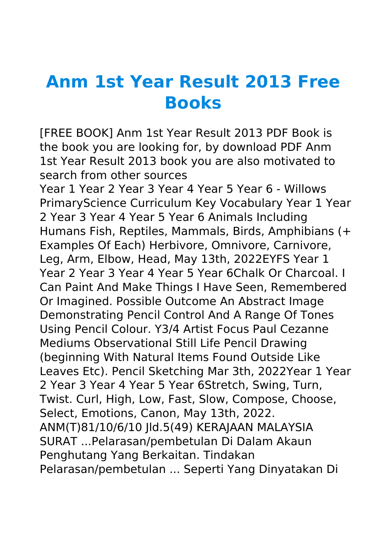## **Anm 1st Year Result 2013 Free Books**

[FREE BOOK] Anm 1st Year Result 2013 PDF Book is the book you are looking for, by download PDF Anm 1st Year Result 2013 book you are also motivated to search from other sources

Year 1 Year 2 Year 3 Year 4 Year 5 Year 6 - Willows PrimaryScience Curriculum Key Vocabulary Year 1 Year 2 Year 3 Year 4 Year 5 Year 6 Animals Including Humans Fish, Reptiles, Mammals, Birds, Amphibians (+ Examples Of Each) Herbivore, Omnivore, Carnivore, Leg, Arm, Elbow, Head, May 13th, 2022EYFS Year 1 Year 2 Year 3 Year 4 Year 5 Year 6Chalk Or Charcoal. I Can Paint And Make Things I Have Seen, Remembered Or Imagined. Possible Outcome An Abstract Image Demonstrating Pencil Control And A Range Of Tones Using Pencil Colour. Y3/4 Artist Focus Paul Cezanne Mediums Observational Still Life Pencil Drawing (beginning With Natural Items Found Outside Like Leaves Etc). Pencil Sketching Mar 3th, 2022Year 1 Year 2 Year 3 Year 4 Year 5 Year 6Stretch, Swing, Turn, Twist. Curl, High, Low, Fast, Slow, Compose, Choose, Select, Emotions, Canon, May 13th, 2022. ANM(T)81/10/6/10 Jld.5(49) KERAJAAN MALAYSIA SURAT ...Pelarasan/pembetulan Di Dalam Akaun Penghutang Yang Berkaitan. Tindakan Pelarasan/pembetulan ... Seperti Yang Dinyatakan Di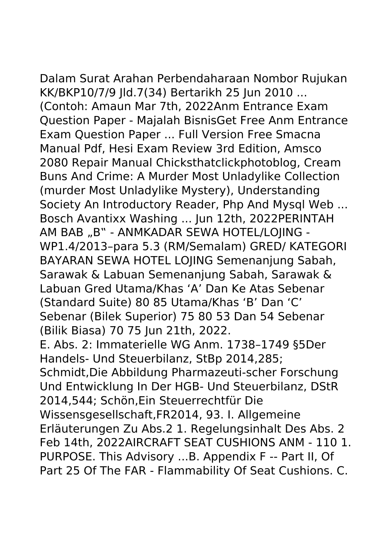Dalam Surat Arahan Perbendaharaan Nombor Rujukan KK/BKP10/7/9 Jld.7(34) Bertarikh 25 Jun 2010 ... (Contoh: Amaun Mar 7th, 2022Anm Entrance Exam Question Paper - Majalah BisnisGet Free Anm Entrance Exam Question Paper ... Full Version Free Smacna Manual Pdf, Hesi Exam Review 3rd Edition, Amsco 2080 Repair Manual Chicksthatclickphotoblog, Cream Buns And Crime: A Murder Most Unladylike Collection (murder Most Unladylike Mystery), Understanding Society An Introductory Reader, Php And Mysql Web ... Bosch Avantixx Washing ... Jun 12th, 2022PERINTAH AM BAB "B" - ANMKADAR SEWA HOTEL/LOJING -WP1.4/2013–para 5.3 (RM/Semalam) GRED/ KATEGORI BAYARAN SEWA HOTEL LOJING Semenanjung Sabah, Sarawak & Labuan Semenanjung Sabah, Sarawak & Labuan Gred Utama/Khas 'A' Dan Ke Atas Sebenar (Standard Suite) 80 85 Utama/Khas 'B' Dan 'C' Sebenar (Bilek Superior) 75 80 53 Dan 54 Sebenar (Bilik Biasa) 70 75 Jun 21th, 2022. E. Abs. 2: Immaterielle WG Anm. 1738–1749 §5Der Handels- Und Steuerbilanz, StBp 2014,285; Schmidt,Die Abbildung Pharmazeuti-scher Forschung Und Entwicklung In Der HGB- Und Steuerbilanz, DStR 2014,544; Schön,Ein Steuerrechtfür Die Wissensgesellschaft,FR2014, 93. I. Allgemeine Erläuterungen Zu Abs.2 1. Regelungsinhalt Des Abs. 2 Feb 14th, 2022AIRCRAFT SEAT CUSHIONS ANM - 110 1. PURPOSE. This Advisory ...B. Appendix F -- Part II, Of

Part 25 Of The FAR - Flammability Of Seat Cushions. C.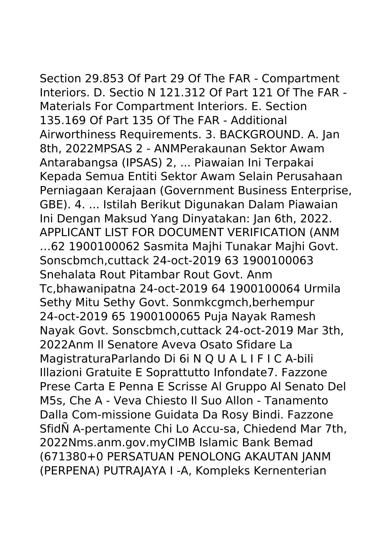Section 29.853 Of Part 29 Of The FAR - Compartment Interiors. D. Sectio N 121.312 Of Part 121 Of The FAR - Materials For Compartment Interiors. E. Section 135.169 Of Part 135 Of The FAR - Additional Airworthiness Requirements. 3. BACKGROUND. A. Jan 8th, 2022MPSAS 2 - ANMPerakaunan Sektor Awam Antarabangsa (IPSAS) 2, ... Piawaian Ini Terpakai Kepada Semua Entiti Sektor Awam Selain Perusahaan Perniagaan Kerajaan (Government Business Enterprise, GBE). 4. ... Istilah Berikut Digunakan Dalam Piawaian Ini Dengan Maksud Yang Dinyatakan: Jan 6th, 2022. APPLICANT LIST FOR DOCUMENT VERIFICATION (ANM …62 1900100062 Sasmita Majhi Tunakar Majhi Govt. Sonscbmch,cuttack 24-oct-2019 63 1900100063 Snehalata Rout Pitambar Rout Govt. Anm Tc,bhawanipatna 24-oct-2019 64 1900100064 Urmila Sethy Mitu Sethy Govt. Sonmkcgmch,berhempur 24-oct-2019 65 1900100065 Puja Nayak Ramesh Nayak Govt. Sonscbmch,cuttack 24-oct-2019 Mar 3th, 2022Anm Il Senatore Aveva Osato Sfidare La MagistraturaParlando Di 6i N Q U A L I F I C A-bili Illazioni Gratuite E Soprattutto Infondate7. Fazzone Prese Carta E Penna E Scrisse Al Gruppo Al Senato Del M5s, Che A - Veva Chiesto Il Suo Allon - Tanamento Dalla Com-missione Guidata Da Rosy Bindi. Fazzone SfidÑ A-pertamente Chi Lo Accu-sa, Chiedend Mar 7th, 2022Nms.anm.gov.myCIMB Islamic Bank Bemad (671380+0 PERSATUAN PENOLONG AKAUTAN JANM (PERPENA) PUTRAJAYA I -A, Kompleks Kernenterian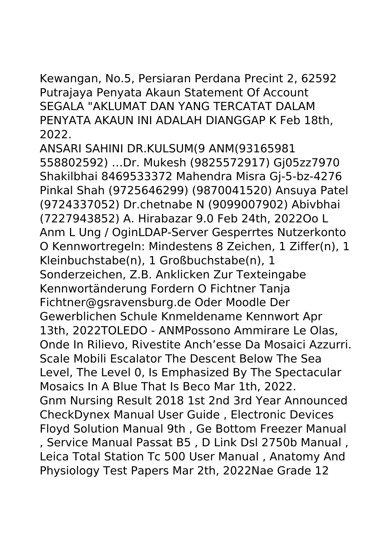Kewangan, No.5, Persiaran Perdana Precint 2, 62592 Putrajaya Penyata Akaun Statement Of Account SEGALA "AKLUMAT DAN YANG TERCATAT DALAM PENYATA AKAUN INI ADALAH DIANGGAP K Feb 18th, 2022.

ANSARI SAHINI DR.KULSUM(9 ANM(93165981 558802592) …Dr. Mukesh (9825572917) Gj05zz7970 Shakilbhai 8469533372 Mahendra Misra Gj-5-bz-4276 Pinkal Shah (9725646299) (9870041520) Ansuya Patel (9724337052) Dr.chetnabe N (9099007902) Abivbhai (7227943852) A. Hirabazar 9.0 Feb 24th, 2022Oo L Anm L Ung / OginLDAP-Server Gesperrtes Nutzerkonto O Kennwortregeln: Mindestens 8 Zeichen, 1 Ziffer(n), 1 Kleinbuchstabe(n), 1 Großbuchstabe(n), 1 Sonderzeichen, Z.B. Anklicken Zur Texteingabe Kennwortänderung Fordern O Fichtner Tanja Fichtner@gsravensburg.de Oder Moodle Der Gewerblichen Schule Knmeldename Kennwort Apr 13th, 2022TOLEDO - ANMPossono Ammirare Le Olas, Onde In Rilievo, Rivestite Anch'esse Da Mosaici Azzurri. Scale Mobili Escalator The Descent Below The Sea Level, The Level 0, Is Emphasized By The Spectacular Mosaics In A Blue That Is Beco Mar 1th, 2022. Gnm Nursing Result 2018 1st 2nd 3rd Year Announced CheckDynex Manual User Guide , Electronic Devices Floyd Solution Manual 9th , Ge Bottom Freezer Manual , Service Manual Passat B5 , D Link Dsl 2750b Manual , Leica Total Station Tc 500 User Manual , Anatomy And Physiology Test Papers Mar 2th, 2022Nae Grade 12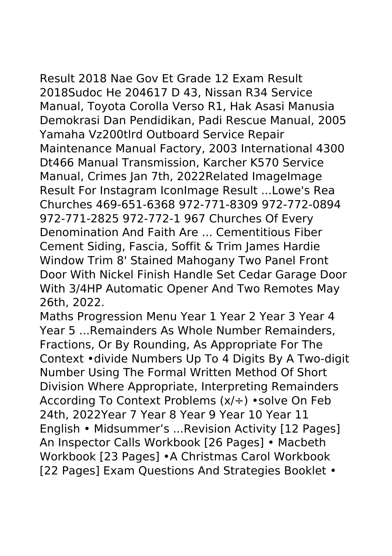## Result 2018 Nae Gov Et Grade 12 Exam Result 2018Sudoc He 204617 D 43, Nissan R34 Service Manual, Toyota Corolla Verso R1, Hak Asasi Manusia Demokrasi Dan Pendidikan, Padi Rescue Manual, 2005 Yamaha Vz200tlrd Outboard Service Repair Maintenance Manual Factory, 2003 International 4300 Dt466 Manual Transmission, Karcher K570 Service Manual, Crimes Jan 7th, 2022Related ImageImage Result For Instagram IconImage Result ...Lowe's Rea Churches 469-651-6368 972-771-8309 972-772-0894 972-771-2825 972-772-1 967 Churches Of Every Denomination And Faith Are ... Cementitious Fiber Cement Siding, Fascia, Soffit & Trim James Hardie Window Trim 8' Stained Mahogany Two Panel Front Door With Nickel Finish Handle Set Cedar Garage Door With 3/4HP Automatic Opener And Two Remotes May

26th, 2022.

Maths Progression Menu Year 1 Year 2 Year 3 Year 4 Year 5 ...Remainders As Whole Number Remainders, Fractions, Or By Rounding, As Appropriate For The Context •divide Numbers Up To 4 Digits By A Two-digit Number Using The Formal Written Method Of Short Division Where Appropriate, Interpreting Remainders According To Context Problems (x/÷) •solve On Feb 24th, 2022Year 7 Year 8 Year 9 Year 10 Year 11 English • Midsummer's ...Revision Activity [12 Pages] An Inspector Calls Workbook [26 Pages] • Macbeth Workbook [23 Pages] •A Christmas Carol Workbook [22 Pages] Exam Questions And Strategies Booklet •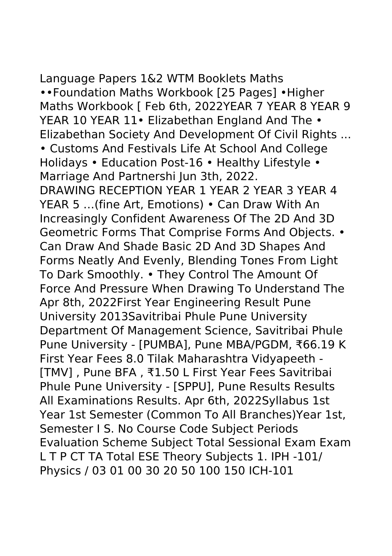Language Papers 1&2 WTM Booklets Maths ••Foundation Maths Workbook [25 Pages] •Higher Maths Workbook [ Feb 6th, 2022YEAR 7 YEAR 8 YEAR 9 YEAR 10 YEAR 11• Elizabethan England And The • Elizabethan Society And Development Of Civil Rights ... • Customs And Festivals Life At School And College Holidays • Education Post-16 • Healthy Lifestyle • Marriage And Partnershi Jun 3th, 2022. DRAWING RECEPTION YEAR 1 YEAR 2 YEAR 3 YEAR 4 YEAR 5 …(fine Art, Emotions) • Can Draw With An Increasingly Confident Awareness Of The 2D And 3D Geometric Forms That Comprise Forms And Objects. • Can Draw And Shade Basic 2D And 3D Shapes And Forms Neatly And Evenly, Blending Tones From Light To Dark Smoothly. • They Control The Amount Of Force And Pressure When Drawing To Understand The Apr 8th, 2022First Year Engineering Result Pune University 2013Savitribai Phule Pune University Department Of Management Science, Savitribai Phule Pune University - [PUMBA], Pune MBA/PGDM, ₹66.19 K First Year Fees 8.0 Tilak Maharashtra Vidyapeeth - [TMV] , Pune BFA , ₹1.50 L First Year Fees Savitribai Phule Pune University - [SPPU], Pune Results Results All Examinations Results. Apr 6th, 2022Syllabus 1st Year 1st Semester (Common To All Branches)Year 1st, Semester I S. No Course Code Subject Periods Evaluation Scheme Subject Total Sessional Exam Exam L T P CT TA Total ESE Theory Subjects 1. IPH -101/ Physics / 03 01 00 30 20 50 100 150 ICH-101